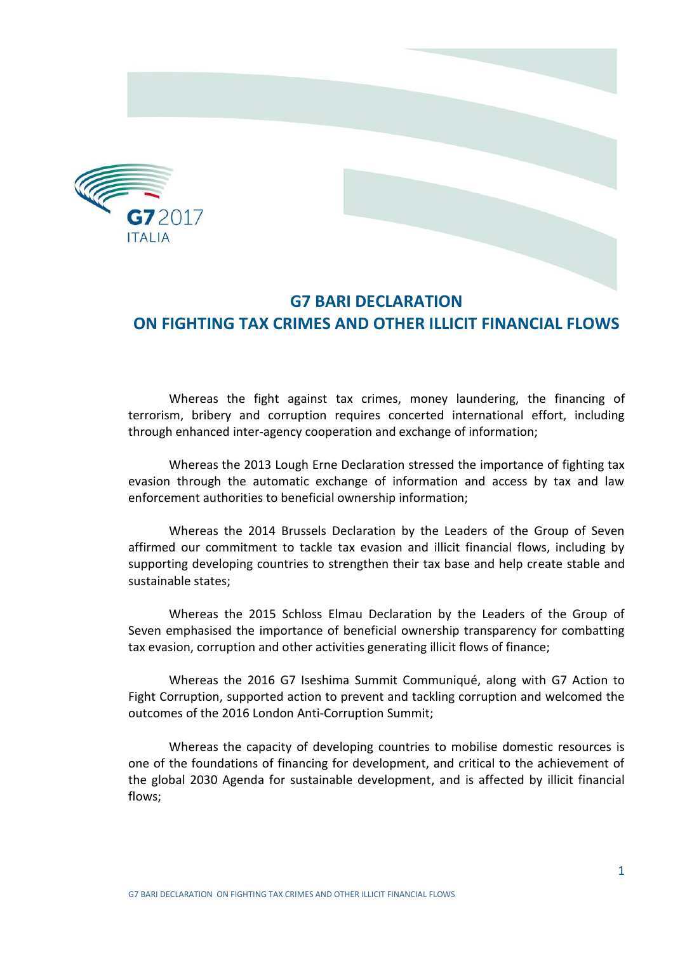

## **G7 BARI DECLARATION ON FIGHTING TAX CRIMES AND OTHER ILLICIT FINANCIAL FLOWS**

Whereas the fight against tax crimes, money laundering, the financing of terrorism, bribery and corruption requires concerted international effort, including through enhanced inter-agency cooperation and exchange of information;

Whereas the 2013 Lough Erne Declaration stressed the importance of fighting tax evasion through the automatic exchange of information and access by tax and law enforcement authorities to beneficial ownership information;

Whereas the 2014 Brussels Declaration by the Leaders of the Group of Seven affirmed our commitment to tackle tax evasion and illicit financial flows, including by supporting developing countries to strengthen their tax base and help create stable and sustainable states;

Whereas the 2015 Schloss Elmau Declaration by the Leaders of the Group of Seven emphasised the importance of beneficial ownership transparency for combatting tax evasion, corruption and other activities generating illicit flows of finance;

Whereas the 2016 G7 Iseshima Summit Communiqué, along with G7 Action to Fight Corruption, supported action to prevent and tackling corruption and welcomed the outcomes of the 2016 London Anti-Corruption Summit;

Whereas the capacity of developing countries to mobilise domestic resources is one of the foundations of financing for development, and critical to the achievement of the global 2030 Agenda for sustainable development, and is affected by illicit financial flows;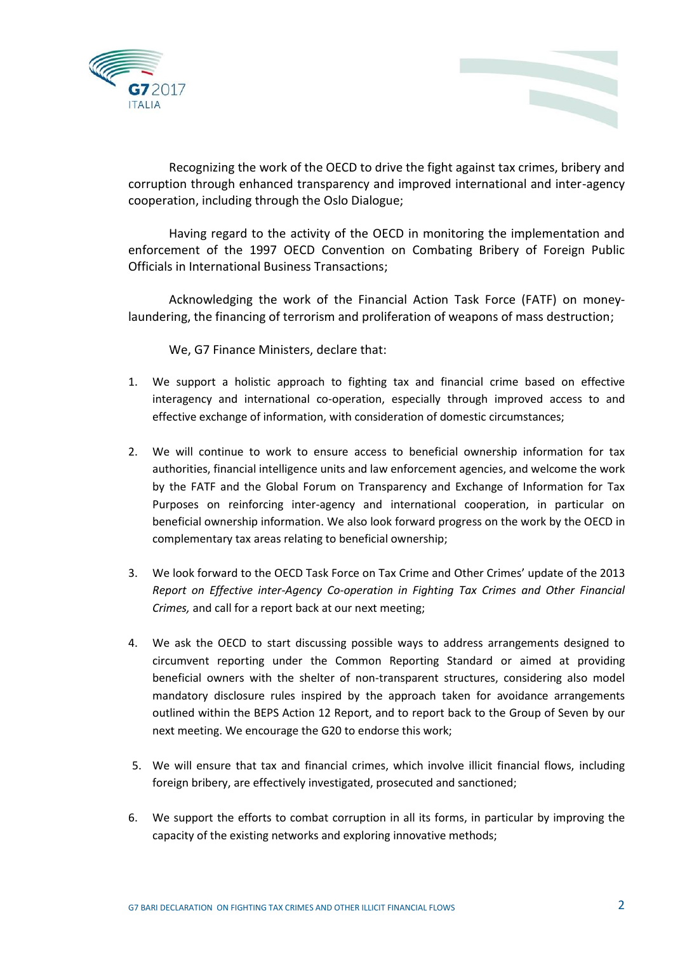



Recognizing the work of the OECD to drive the fight against tax crimes, bribery and corruption through enhanced transparency and improved international and inter-agency cooperation, including through the Oslo Dialogue;

Having regard to the activity of the OECD in monitoring the implementation and enforcement of the 1997 OECD Convention on Combating Bribery of Foreign Public Officials in International Business Transactions;

Acknowledging the work of the Financial Action Task Force (FATF) on moneylaundering, the financing of terrorism and proliferation of weapons of mass destruction;

We, G7 Finance Ministers, declare that:

- 1. We support a holistic approach to fighting tax and financial crime based on effective interagency and international co-operation, especially through improved access to and effective exchange of information, with consideration of domestic circumstances;
- 2. We will continue to work to ensure access to beneficial ownership information for tax authorities, financial intelligence units and law enforcement agencies, and welcome the work by the FATF and the Global Forum on Transparency and Exchange of Information for Tax Purposes on reinforcing inter-agency and international cooperation, in particular on beneficial ownership information. We also look forward progress on the work by the OECD in complementary tax areas relating to beneficial ownership;
- 3. We look forward to the OECD Task Force on Tax Crime and Other Crimes' update of the 2013 *Report on Effective inter-Agency Co-operation in Fighting Tax Crimes and Other Financial Crimes,* and call for a report back at our next meeting;
- 4. We ask the OECD to start discussing possible ways to address arrangements designed to circumvent reporting under the Common Reporting Standard or aimed at providing beneficial owners with the shelter of non-transparent structures, considering also model mandatory disclosure rules inspired by the approach taken for avoidance arrangements outlined within the BEPS Action 12 Report, and to report back to the Group of Seven by our next meeting. We encourage the G20 to endorse this work;
- 5. We will ensure that tax and financial crimes, which involve illicit financial flows, including foreign bribery, are effectively investigated, prosecuted and sanctioned;
- 6. We support the efforts to combat corruption in all its forms, in particular by improving the capacity of the existing networks and exploring innovative methods;